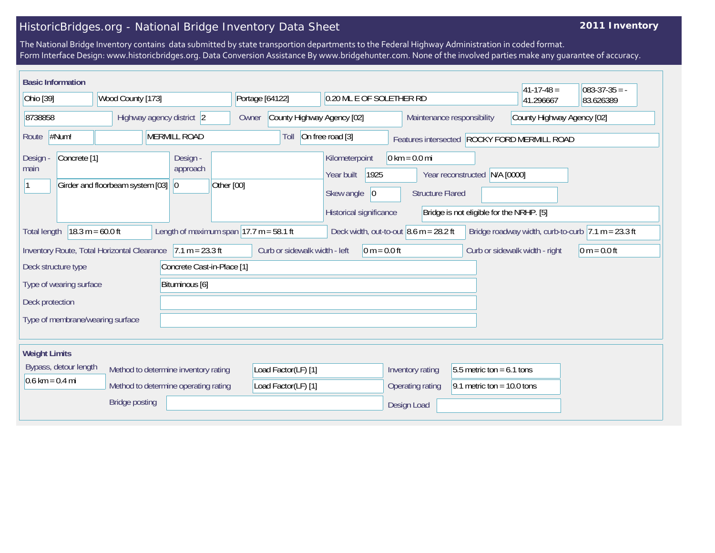## HistoricBridges.org - National Bridge Inventory Data Sheet

## **2011 Inventory**

The National Bridge Inventory contains data submitted by state transportion departments to the Federal Highway Administration in coded format. Form Interface Design: www.historicbridges.org. Data Conversion Assistance By www.bridgehunter.com. None of the involved parties make any guarantee of accuracy.

| <b>Basic Information</b>                                   |                                                                              |                                                            |                                            |                                                                                      |                                                            |                                                                           | $ 41-17-48 $                                 | $083 - 37 - 35 = -$                                                    |
|------------------------------------------------------------|------------------------------------------------------------------------------|------------------------------------------------------------|--------------------------------------------|--------------------------------------------------------------------------------------|------------------------------------------------------------|---------------------------------------------------------------------------|----------------------------------------------|------------------------------------------------------------------------|
| Ohio [39]                                                  | Wood County [173]<br>Portage [64122]                                         |                                                            |                                            | 0.20 ML E OF SOLETHER RD                                                             |                                                            |                                                                           | 41.296667                                    | 83.626389                                                              |
| 8738858                                                    | Highway agency district 2                                                    | Owner                                                      | County Highway Agency [02]                 |                                                                                      | Maintenance responsibility                                 |                                                                           | County Highway Agency [02]                   |                                                                        |
| #Num!<br>Route                                             | <b>MERMILL ROAD</b>                                                          |                                                            | Toll                                       | On free road [3]                                                                     |                                                            |                                                                           | Features intersected ROCKY FORD MERMILL ROAD |                                                                        |
| Concrete <sup>[1]</sup><br>Design<br>main                  | Girder and floorbeam system [03]<br>$ 0\rangle$                              | Design -<br>approach<br>Other [00]                         |                                            | Kilometerpoint<br>1925<br>Year built<br>Skew angle<br> 0 <br>Historical significance | $0 \text{ km} = 0.0 \text{ mi}$<br><b>Structure Flared</b> | Year reconstructed N/A [0000]<br>Bridge is not eligible for the NRHP. [5] |                                              |                                                                        |
| <b>Total length</b>                                        | $18.3 m = 60.0 ft$                                                           | Length of maximum span $ 17.7 \text{ m} = 58.1 \text{ ft}$ |                                            | Deck width, out-to-out $8.6$ m = 28.2 ft                                             |                                                            |                                                                           |                                              | Bridge roadway width, curb-to-curb $ 7.1 \text{ m} = 23.3 \text{ ft} $ |
|                                                            | Inventory Route, Total Horizontal Clearance                                  | $7.1 m = 23.3 ft$                                          | Curb or sidewalk width - left              | $0 m = 0.0 ft$                                                                       |                                                            |                                                                           | Curb or sidewalk width - right               | $ 0 m = 0.0 ft$                                                        |
| Deck structure type                                        |                                                                              | Concrete Cast-in-Place [1]                                 |                                            |                                                                                      |                                                            |                                                                           |                                              |                                                                        |
| Type of wearing surface                                    |                                                                              | Bituminous [6]                                             |                                            |                                                                                      |                                                            |                                                                           |                                              |                                                                        |
| Deck protection                                            |                                                                              |                                                            |                                            |                                                                                      |                                                            |                                                                           |                                              |                                                                        |
| Type of membrane/wearing surface                           |                                                                              |                                                            |                                            |                                                                                      |                                                            |                                                                           |                                              |                                                                        |
| <b>Weight Limits</b>                                       |                                                                              |                                                            |                                            |                                                                                      |                                                            |                                                                           |                                              |                                                                        |
| Bypass, detour length<br>$0.6 \text{ km} = 0.4 \text{ mi}$ | Method to determine inventory rating<br>Method to determine operating rating |                                                            | Load Factor(LF) [1]<br>Load Factor(LF) [1] |                                                                                      | Inventory rating<br><b>Operating rating</b>                | 5.5 metric ton = $6.1$ tons<br>9.1 metric ton = $10.0$ tons               |                                              |                                                                        |
|                                                            | <b>Bridge posting</b>                                                        |                                                            |                                            |                                                                                      | Design Load                                                |                                                                           |                                              |                                                                        |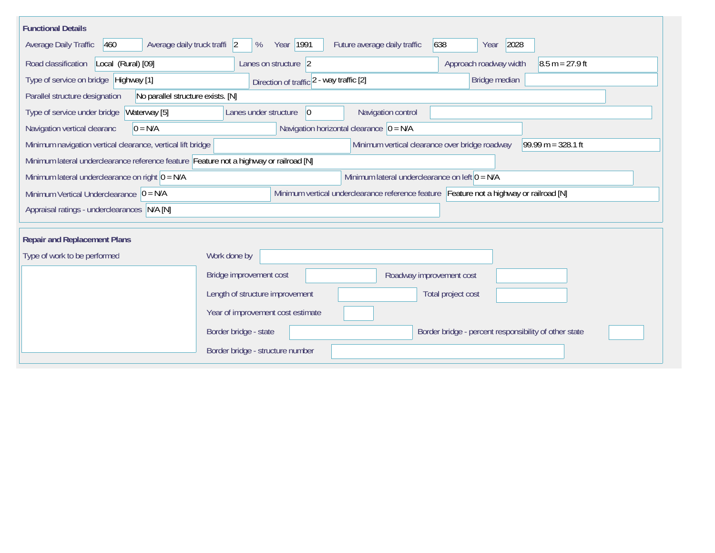| <b>Functional Details</b>                                                              |                                                                                         |                                                                        |
|----------------------------------------------------------------------------------------|-----------------------------------------------------------------------------------------|------------------------------------------------------------------------|
| Average Daily Traffic<br>460<br>Average daily truck traffi 2                           | Year   1991<br>Future average daily traffic<br>%                                        | 2028<br>638<br>Year                                                    |
| Road classification<br>Local (Rural) [09]                                              | Lanes on structure 2                                                                    | Approach roadway width<br>$8.5 m = 27.9 ft$                            |
| Type of service on bridge Highway [1]                                                  | Direction of traffic 2 - way traffic [2]                                                | Bridge median                                                          |
| No parallel structure exists. [N]<br>Parallel structure designation                    |                                                                                         |                                                                        |
| Type of service under bridge<br>Waterway [5]                                           | Navigation control<br>Lanes under structure<br>$ 0\rangle$                              |                                                                        |
| Navigation vertical clearanc<br>$0 = N/A$                                              | Navigation horizontal clearance $ 0 = N/A$                                              |                                                                        |
| Minimum navigation vertical clearance, vertical lift bridge                            |                                                                                         | Minimum vertical clearance over bridge roadway<br>$99.99 m = 328.1 ft$ |
| Minimum lateral underclearance reference feature Feature not a highway or railroad [N] |                                                                                         |                                                                        |
| Minimum lateral underclearance on right $0 = N/A$                                      | Minimum lateral underclearance on left $0 = N/A$                                        |                                                                        |
| Minimum Vertical Underclearance $ 0 = N/A$                                             | Minimum vertical underclearance reference feature Feature not a highway or railroad [N] |                                                                        |
| Appraisal ratings - underclearances N/A [N]                                            |                                                                                         |                                                                        |
|                                                                                        |                                                                                         |                                                                        |
| <b>Repair and Replacement Plans</b>                                                    |                                                                                         |                                                                        |
| Type of work to be performed                                                           | Work done by                                                                            |                                                                        |
|                                                                                        | Bridge improvement cost                                                                 | Roadway improvement cost                                               |
|                                                                                        | Length of structure improvement                                                         | Total project cost                                                     |
|                                                                                        | Year of improvement cost estimate                                                       |                                                                        |
|                                                                                        | Border bridge - state                                                                   | Border bridge - percent responsibility of other state                  |
|                                                                                        | Border bridge - structure number                                                        |                                                                        |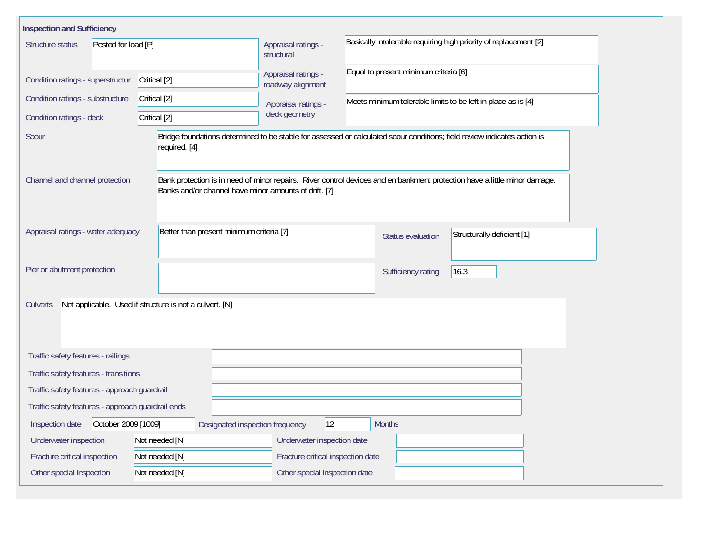| <b>Inspection and Sufficiency</b>                                                                 |                |                                                       |                                                                                                                          |                                                                                                                          |  |  |  |
|---------------------------------------------------------------------------------------------------|----------------|-------------------------------------------------------|--------------------------------------------------------------------------------------------------------------------------|--------------------------------------------------------------------------------------------------------------------------|--|--|--|
| Structure status<br>Posted for load [P]                                                           |                | Appraisal ratings -<br>structural                     | Basically intolerable requiring high priority of replacement [2]                                                         |                                                                                                                          |  |  |  |
| Condition ratings - superstructur                                                                 | Critical [2]   | Appraisal ratings -<br>roadway alignment              | Equal to present minimum criteria [6]                                                                                    |                                                                                                                          |  |  |  |
| Condition ratings - substructure                                                                  | Critical [2]   | Appraisal ratings -                                   | Meets minimum tolerable limits to be left in place as is [4]                                                             |                                                                                                                          |  |  |  |
| Condition ratings - deck                                                                          | Critical [2]   | deck geometry                                         |                                                                                                                          |                                                                                                                          |  |  |  |
| Scour                                                                                             | required. [4]  |                                                       | Bridge foundations determined to be stable for assessed or calculated scour conditions; field review indicates action is |                                                                                                                          |  |  |  |
| Channel and channel protection                                                                    |                | Banks and/or channel have minor amounts of drift. [7] |                                                                                                                          | Bank protection is in need of minor repairs. River control devices and embankment protection have a little minor damage. |  |  |  |
| Appraisal ratings - water adequacy<br>Better than present minimum criteria [7]                    |                |                                                       | Status evaluation                                                                                                        | Structurally deficient [1]                                                                                               |  |  |  |
| Pier or abutment protection                                                                       |                |                                                       | Sufficiency rating                                                                                                       | 16.3                                                                                                                     |  |  |  |
| Not applicable. Used if structure is not a culvert. [N]<br><b>Culverts</b>                        |                |                                                       |                                                                                                                          |                                                                                                                          |  |  |  |
| Traffic safety features - railings                                                                |                |                                                       |                                                                                                                          |                                                                                                                          |  |  |  |
| Traffic safety features - transitions                                                             |                |                                                       |                                                                                                                          |                                                                                                                          |  |  |  |
| Traffic safety features - approach guardrail                                                      |                |                                                       |                                                                                                                          |                                                                                                                          |  |  |  |
| Traffic safety features - approach guardrail ends                                                 |                |                                                       |                                                                                                                          |                                                                                                                          |  |  |  |
| 12 <br>October 2009 [1009]<br><b>Months</b><br>Inspection date<br>Designated inspection frequency |                |                                                       |                                                                                                                          |                                                                                                                          |  |  |  |
| Underwater inspection                                                                             | Not needed [N] | Underwater inspection date                            |                                                                                                                          |                                                                                                                          |  |  |  |
| Fracture critical inspection                                                                      | Not needed [N] | Fracture critical inspection date                     |                                                                                                                          |                                                                                                                          |  |  |  |
| Other special inspection                                                                          | Not needed [N] | Other special inspection date                         |                                                                                                                          |                                                                                                                          |  |  |  |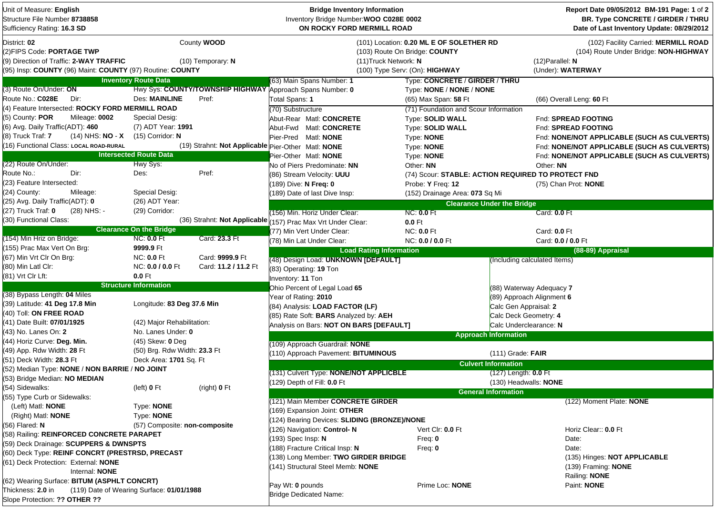| Unit of Measure: English<br>Structure File Number 8738858<br>Sufficiency Rating: 16.3 SD                                                          |                                                                                                                                                                            |                      | <b>Bridge Inventory Information</b><br>Inventory Bridge Number: WOO C028E 0002<br>ON ROCKY FORD MERMILL ROAD |                                                    |                                                                                                                          | Report Date 09/05/2012 BM-191 Page: 1 of 2<br><b>BR. Type CONCRETE / GIRDER / THRU</b><br>Date of Last Inventory Update: 08/29/2012 |  |  |
|---------------------------------------------------------------------------------------------------------------------------------------------------|----------------------------------------------------------------------------------------------------------------------------------------------------------------------------|----------------------|--------------------------------------------------------------------------------------------------------------|----------------------------------------------------|--------------------------------------------------------------------------------------------------------------------------|-------------------------------------------------------------------------------------------------------------------------------------|--|--|
| District: 02<br>(2)FIPS Code: PORTAGE TWP<br>(9) Direction of Traffic: 2-WAY TRAFFIC<br>(95) Insp: COUNTY (96) Maint: COUNTY (97) Routine: COUNTY | County WOOD<br>(101) Location: 0.20 ML E OF SOLETHER RD<br>(103) Route On Bridge: COUNTY<br>(11) Truck Network: N<br>$(10)$ Temporary: N<br>(100) Type Serv: (On): HIGHWAY |                      |                                                                                                              |                                                    | (102) Facility Carried: MERMILL ROAD<br>(104) Route Under Bridge: NON-HIGHWAY<br>$(12)$ Parallel: N<br>(Under): WATERWAY |                                                                                                                                     |  |  |
|                                                                                                                                                   | <b>Inventory Route Data</b>                                                                                                                                                |                      | (63) Main Spans Number: 1                                                                                    | Type: CONCRETE / GIRDER / THRU                     |                                                                                                                          |                                                                                                                                     |  |  |
| (3) Route On/Under: ON                                                                                                                            |                                                                                                                                                                            |                      | Hwy Sys: COUNTY/TOWNSHIP HIGHWAY Approach Spans Number: 0                                                    | Type: NONE / NONE / NONE                           |                                                                                                                          |                                                                                                                                     |  |  |
| Route No.: C028E<br>Dir:                                                                                                                          | Des: MAINLINE                                                                                                                                                              | Pref:                | Total Spans: 1                                                                                               | (65) Max Span: 58 Ft                               |                                                                                                                          | (66) Overall Leng: 60 Ft                                                                                                            |  |  |
| (4) Feature Intersected: ROCKY FORD MERMILL ROAD                                                                                                  |                                                                                                                                                                            |                      | (70) Substructure                                                                                            | (71) Foundation and Scour Information              |                                                                                                                          |                                                                                                                                     |  |  |
| (5) County: POR<br>Mileage: 0002                                                                                                                  | Special Desig:                                                                                                                                                             |                      | Abut-Rear Matl: CONCRETE                                                                                     | Type: SOLID WALL                                   |                                                                                                                          | Fnd: SPREAD FOOTING                                                                                                                 |  |  |
| (6) Avg. Daily Traffic(ADT): 460                                                                                                                  | (7) ADT Year: 1991                                                                                                                                                         |                      | Abut-Fwd Matl: CONCRETE                                                                                      | Type: SOLID WALL                                   |                                                                                                                          | Fnd: SPREAD FOOTING                                                                                                                 |  |  |
| (14) NHS: <b>NO</b> - <b>X</b><br>(8) Truck Traf: 7                                                                                               | (15) Corridor: N                                                                                                                                                           |                      | Pier-Pred Matl: NONE                                                                                         | Type: NONE                                         |                                                                                                                          | Fnd: NONE/NOT APPLICABLE (SUCH AS CULVERTS)                                                                                         |  |  |
| (16) Functional Class: LOCAL ROAD-RURAL                                                                                                           |                                                                                                                                                                            |                      | (19) Strahnt: Not Applicable Pier-Other Matl: NONE                                                           | Type: NONE                                         |                                                                                                                          | Fnd: NONE/NOT APPLICABLE (SUCH AS CULVERTS)                                                                                         |  |  |
|                                                                                                                                                   | <b>Intersected Route Data</b>                                                                                                                                              |                      | Pier-Other Matl: NONE                                                                                        | Type: NONE                                         |                                                                                                                          | Fnd: NONE/NOT APPLICABLE (SUCH AS CULVERTS)                                                                                         |  |  |
| (22) Route On/Under:                                                                                                                              | Hwy Sys:                                                                                                                                                                   |                      | No of Piers Predominate: NN                                                                                  | Other: NN                                          |                                                                                                                          | Other: NN                                                                                                                           |  |  |
| Route No.:<br>Dir:                                                                                                                                | Des:                                                                                                                                                                       | Pref:                | (86) Stream Velocity: UUU                                                                                    | (74) Scour: STABLE: ACTION REQUIRED TO PROTECT FND |                                                                                                                          |                                                                                                                                     |  |  |
| (23) Feature Intersected:                                                                                                                         |                                                                                                                                                                            |                      | (189) Dive: N Freq: 0                                                                                        | Probe: Y Freq: 12                                  |                                                                                                                          | (75) Chan Prot: NONE                                                                                                                |  |  |
| (24) County:<br>Mileage:                                                                                                                          | Special Desig:                                                                                                                                                             |                      | (189) Date of last Dive Insp:                                                                                | (152) Drainage Area: 073 Sq Mi                     |                                                                                                                          |                                                                                                                                     |  |  |
| (25) Avg. Daily Traffic(ADT): 0                                                                                                                   | (26) ADT Year:                                                                                                                                                             |                      |                                                                                                              |                                                    | <b>Clearance Under the Bridge</b>                                                                                        |                                                                                                                                     |  |  |
| (27) Truck Traf: 0<br>(28) NHS: -                                                                                                                 | (29) Corridor:                                                                                                                                                             |                      | (156) Min. Horiz Under Clear:                                                                                | <b>NC: 0.0 Ft</b>                                  |                                                                                                                          | Card: 0.0 Ft                                                                                                                        |  |  |
| (30) Functional Class:                                                                                                                            |                                                                                                                                                                            |                      | (36) Strahnt: Not Applicable (157) Prac Max Vrt Under Clear:                                                 | $0.0$ Ft                                           |                                                                                                                          |                                                                                                                                     |  |  |
|                                                                                                                                                   | <b>Clearance On the Bridge</b>                                                                                                                                             |                      | (77) Min Vert Under Clear:                                                                                   | <b>NC: 0.0 Ft</b>                                  |                                                                                                                          | Card: 0.0 Ft                                                                                                                        |  |  |
| (154) Min Hriz on Bridge:                                                                                                                         | <b>NC: 0.0 Ft</b>                                                                                                                                                          | Card: 23.3 Ft        | (78) Min Lat Under Clear:                                                                                    | NC: 0.0 / 0.0 Ft                                   |                                                                                                                          | Card: 0.0 / 0.0 Ft                                                                                                                  |  |  |
| (155) Prac Max Vert On Brg:                                                                                                                       | 9999.9 Ft                                                                                                                                                                  |                      | <b>Load Rating Information</b>                                                                               |                                                    |                                                                                                                          | (88-89) Appraisal                                                                                                                   |  |  |
| (67) Min Vrt Clr On Brg:                                                                                                                          | <b>NC: 0.0 Ft</b>                                                                                                                                                          | Card: 9999.9 Ft      | (48) Design Load: UNKNOWN [DEFAULT]                                                                          |                                                    | (Including calculated Items)                                                                                             |                                                                                                                                     |  |  |
| (80) Min Latl Clr:                                                                                                                                | NC: 0.0 / 0.0 Ft                                                                                                                                                           | Card: 11.2 / 11.2 Ft | (83) Operating: 19 Ton                                                                                       |                                                    |                                                                                                                          |                                                                                                                                     |  |  |
| (81) Vrt Clr Lft:                                                                                                                                 | $0.0$ Ft                                                                                                                                                                   |                      | Inventory: 11 Ton                                                                                            |                                                    |                                                                                                                          |                                                                                                                                     |  |  |
|                                                                                                                                                   | <b>Structure Information</b>                                                                                                                                               |                      | Ohio Percent of Legal Load 65                                                                                |                                                    | (88) Waterway Adequacy 7                                                                                                 |                                                                                                                                     |  |  |
| (38) Bypass Length: 04 Miles                                                                                                                      |                                                                                                                                                                            |                      | Year of Rating: 2010                                                                                         |                                                    | (89) Approach Alignment 6                                                                                                |                                                                                                                                     |  |  |
| (39) Latitude: 41 Deg 17.8 Min                                                                                                                    | Longitude: 83 Deg 37.6 Min                                                                                                                                                 |                      | (84) Analysis: LOAD FACTOR (LF)                                                                              |                                                    | Calc Gen Appraisal: 2                                                                                                    |                                                                                                                                     |  |  |
| (40) Toll: ON FREE ROAD                                                                                                                           |                                                                                                                                                                            |                      | (85) Rate Soft: BARS Analyzed by: AEH                                                                        |                                                    | Calc Deck Geometry: 4                                                                                                    |                                                                                                                                     |  |  |
| (41) Date Built: 07/01/1925                                                                                                                       | (42) Major Rehabilitation:                                                                                                                                                 |                      | Analysis on Bars: NOT ON BARS [DEFAULT]                                                                      |                                                    | Calc Underclearance: N                                                                                                   |                                                                                                                                     |  |  |
| (43) No. Lanes On: <b>2</b>                                                                                                                       | No. Lanes Under: 0                                                                                                                                                         |                      |                                                                                                              |                                                    | <b>Approach Information</b>                                                                                              |                                                                                                                                     |  |  |
| (44) Horiz Curve: Deg. Min.                                                                                                                       | $(45)$ Skew: 0 Deg                                                                                                                                                         |                      | (109) Approach Guardrail: NONE                                                                               |                                                    |                                                                                                                          |                                                                                                                                     |  |  |
| (49) App. Rdw Width: 28 Ft                                                                                                                        | (50) Brg. Rdw Width: 23.3 Ft                                                                                                                                               |                      | (110) Approach Pavement: BITUMINOUS                                                                          |                                                    | $(111)$ Grade: FAIR                                                                                                      |                                                                                                                                     |  |  |
| (51) Deck Width: 28.3 Ft                                                                                                                          | Deck Area: 1701 Sq. Ft                                                                                                                                                     |                      |                                                                                                              |                                                    | <b>Culvert Information</b>                                                                                               |                                                                                                                                     |  |  |
| (52) Median Type: NONE / NON BARRIE / NO JOINT<br>(53) Bridge Median: NO MEDIAN                                                                   |                                                                                                                                                                            |                      | (131) Culvert Type: NONE/NOT APPLICBLE                                                                       |                                                    | $(127)$ Length: $0.0$ Ft                                                                                                 |                                                                                                                                     |  |  |
|                                                                                                                                                   |                                                                                                                                                                            |                      | (129) Depth of Fill: 0.0 Ft                                                                                  |                                                    | (130) Headwalls: NONE                                                                                                    |                                                                                                                                     |  |  |
| (54) Sidewalks:<br>(55) Type Curb or Sidewalks:                                                                                                   | (left) <b>0</b> Ft                                                                                                                                                         | (right) 0 Ft         |                                                                                                              |                                                    | <b>General Information</b>                                                                                               |                                                                                                                                     |  |  |
| (Left) Matl: <b>NONE</b>                                                                                                                          | Type: NONE                                                                                                                                                                 |                      | (121) Main Member CONCRETE GIRDER                                                                            |                                                    |                                                                                                                          | (122) Moment Plate: NONE                                                                                                            |  |  |
| (Right) Matl: <b>NONE</b>                                                                                                                         | Type: NONE                                                                                                                                                                 |                      | 169) Expansion Joint: OTHER                                                                                  |                                                    |                                                                                                                          |                                                                                                                                     |  |  |
| (56) Flared: N                                                                                                                                    | (57) Composite: non-composite                                                                                                                                              |                      | 124) Bearing Devices: SLIDING (BRONZE)/NONE                                                                  |                                                    |                                                                                                                          |                                                                                                                                     |  |  |
| (58) Railing: REINFORCED CONCRETE PARAPET                                                                                                         |                                                                                                                                                                            |                      | (126) Navigation: Control-N                                                                                  | Vert Clr: 0.0 Ft                                   |                                                                                                                          | Horiz Clear:: 0.0 Ft                                                                                                                |  |  |
| (59) Deck Drainage: SCUPPERS & DWNSPTS                                                                                                            |                                                                                                                                                                            |                      | (193) Spec Insp: N                                                                                           | Freq: $0$                                          |                                                                                                                          | Date:                                                                                                                               |  |  |
| (60) Deck Type: REINF CONCRT (PRESTRSD, PRECAST                                                                                                   |                                                                                                                                                                            |                      | 188) Fracture Critical Insp: N                                                                               | Freq: $0$                                          |                                                                                                                          | Date:                                                                                                                               |  |  |
| (61) Deck Protection: External: NONE                                                                                                              |                                                                                                                                                                            |                      | 138) Long Member: TWO GIRDER BRIDGE                                                                          |                                                    |                                                                                                                          | (135) Hinges: NOT APPLICABLE                                                                                                        |  |  |
| Internal: NONE                                                                                                                                    |                                                                                                                                                                            |                      | (141) Structural Steel Memb: NONE                                                                            |                                                    |                                                                                                                          | (139) Framing: NONE                                                                                                                 |  |  |
| (62) Wearing Surface: BITUM (ASPHLT CONCRT)                                                                                                       |                                                                                                                                                                            |                      |                                                                                                              |                                                    |                                                                                                                          | Railing: NONE                                                                                                                       |  |  |
| Thickness: 2.0 in                                                                                                                                 | (119) Date of Wearing Surface: 01/01/1988                                                                                                                                  |                      | Pay Wt: 0 pounds                                                                                             | Prime Loc: NONE                                    |                                                                                                                          | Paint: NONE                                                                                                                         |  |  |
| Slope Protection: ?? OTHER ??                                                                                                                     |                                                                                                                                                                            |                      | <b>Bridge Dedicated Name:</b>                                                                                |                                                    |                                                                                                                          |                                                                                                                                     |  |  |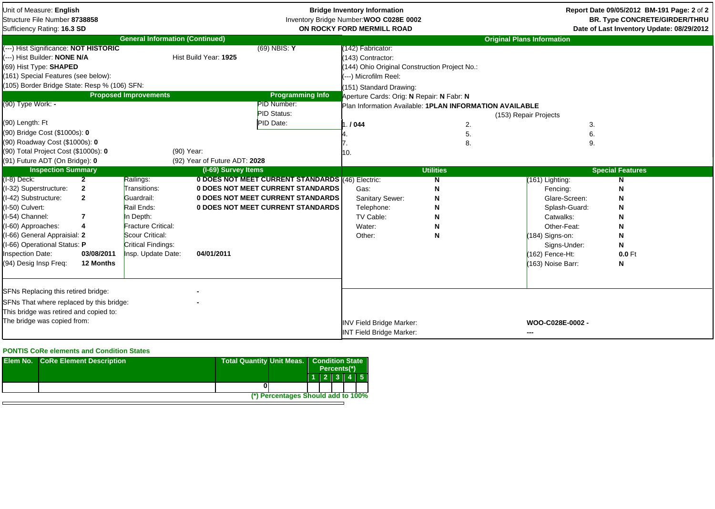| Unit of Measure: English<br>Structure File Number 8738858<br>Sufficiency Rating: 16.3 SD                                                                                                                                                                       |                                                                                |                                                                                                                                                                |                               |                                                                                                                                                                        | <b>Bridge Inventory Information</b><br>Inventory Bridge Number: WOO C028E 0002<br>ON ROCKY FORD MERMILL ROAD                                                                                                                                             |                       |                                                                                                                                                                      | Report Date 09/05/2012 BM-191 Page: 2 of 2<br><b>BR. Type CONCRETE/GIRDER/THRU</b><br>Date of Last Inventory Update: 08/29/2012 |
|----------------------------------------------------------------------------------------------------------------------------------------------------------------------------------------------------------------------------------------------------------------|--------------------------------------------------------------------------------|----------------------------------------------------------------------------------------------------------------------------------------------------------------|-------------------------------|------------------------------------------------------------------------------------------------------------------------------------------------------------------------|----------------------------------------------------------------------------------------------------------------------------------------------------------------------------------------------------------------------------------------------------------|-----------------------|----------------------------------------------------------------------------------------------------------------------------------------------------------------------|---------------------------------------------------------------------------------------------------------------------------------|
|                                                                                                                                                                                                                                                                |                                                                                | <b>General Information (Continued)</b>                                                                                                                         |                               |                                                                                                                                                                        |                                                                                                                                                                                                                                                          |                       | <b>Original Plans Information</b>                                                                                                                                    |                                                                                                                                 |
| (---) Hist Significance: NOT HISTORIC<br>---) Hist Builder: NONE N/A<br>(69) Hist Type: SHAPED<br>(161) Special Features (see below):<br>(105) Border Bridge State: Resp % (106) SFN:<br>(90) Type Work: -<br>(90) Length: Ft<br>(90) Bridge Cost (\$1000s): 0 |                                                                                | <b>Proposed Improvements</b>                                                                                                                                   | Hist Build Year: 1925         | $(69)$ NBIS: Y<br><b>Programming Info</b><br>PID Number:<br>PID Status:<br>PID Date:                                                                                   | 142) Fabricator:<br>143) Contractor:<br>144) Ohio Original Construction Project No.:<br>---) Microfilm Reel:<br>(151) Standard Drawing:<br>Aperture Cards: Orig: N Repair: N Fabr: N<br>Plan Information Available: 1PLAN INFORMATION AVAILABLE<br>.1044 | 2.<br>5.              | (153) Repair Projects<br>3.<br>6.                                                                                                                                    |                                                                                                                                 |
| (90) Roadway Cost (\$1000s): 0                                                                                                                                                                                                                                 |                                                                                |                                                                                                                                                                |                               |                                                                                                                                                                        |                                                                                                                                                                                                                                                          | 8.                    | 9.                                                                                                                                                                   |                                                                                                                                 |
| (90) Total Project Cost (\$1000s): 0                                                                                                                                                                                                                           |                                                                                | (90) Year:                                                                                                                                                     |                               |                                                                                                                                                                        | 10.                                                                                                                                                                                                                                                      |                       |                                                                                                                                                                      |                                                                                                                                 |
| (91) Future ADT (On Bridge): 0                                                                                                                                                                                                                                 |                                                                                |                                                                                                                                                                | (92) Year of Future ADT: 2028 |                                                                                                                                                                        |                                                                                                                                                                                                                                                          |                       |                                                                                                                                                                      |                                                                                                                                 |
| <b>Inspection Summary</b>                                                                                                                                                                                                                                      |                                                                                |                                                                                                                                                                | (I-69) Survey Items           |                                                                                                                                                                        |                                                                                                                                                                                                                                                          | <b>Utilities</b>      |                                                                                                                                                                      | <b>Special Features</b>                                                                                                         |
| $(I-8)$ Deck:<br>(I-32) Superstructure:<br>(I-42) Substructure:<br>(I-50) Culvert:<br>(I-54) Channel:<br>(I-60) Approaches:<br>I-66) General Appraisial: 2<br>(I-66) Operational Status: P<br>Inspection Date:<br>(94) Desig Insp Freq:                        | $\overline{2}$<br>$\mathbf{2}$<br>$\mathbf{2}$<br>7<br>03/08/2011<br>12 Months | Railings:<br>Transitions:<br>Guardrail:<br>Rail Ends:<br>In Depth:<br><b>Fracture Critical:</b><br>Scour Critical:<br>Critical Findings:<br>Insp. Update Date: | 04/01/2011                    | 0 DOES NOT MEET CURRENT STANDARDS (46) Electric:<br>0 DOES NOT MEET CURRENT STANDARDS<br>0 DOES NOT MEET CURRENT STANDARDS<br><b>0 DOES NOT MEET CURRENT STANDARDS</b> | Gas:<br>Sanitary Sewer:<br>Telephone:<br>TV Cable:<br>Water:<br>Other:                                                                                                                                                                                   | N<br>N<br>N<br>N<br>N | (161) Lighting:<br>Fencing:<br>Glare-Screen:<br>Splash-Guard:<br>Catwalks:<br>Other-Feat:<br>(184) Signs-on:<br>Signs-Under:<br>(162) Fence-Ht:<br>(163) Noise Barr: | N<br>N<br>N<br>N<br>N<br>N<br>N<br>N<br>$0.0$ Ft<br>N                                                                           |
| SFNs Replacing this retired bridge:<br>SFNs That where replaced by this bridge:<br>This bridge was retired and copied to:<br>The bridge was copied from:                                                                                                       |                                                                                |                                                                                                                                                                |                               |                                                                                                                                                                        | <b>INV Field Bridge Marker:</b><br><b>INT Field Bridge Marker:</b>                                                                                                                                                                                       |                       | WOO-C028E-0002 -<br>---                                                                                                                                              |                                                                                                                                 |

## **PONTIS CoRe elements and Condition States**

| <b>Elem No. CoRe Element Description</b> | <b>Total Quantity Unit Meas.</b> |                                    | <b>Condition State</b><br>Percents(*) |  |  |           |
|------------------------------------------|----------------------------------|------------------------------------|---------------------------------------|--|--|-----------|
|                                          |                                  |                                    |                                       |  |  | 1 2 3 4 5 |
|                                          |                                  |                                    |                                       |  |  |           |
|                                          |                                  | (*) Percentages Should add to 100% |                                       |  |  |           |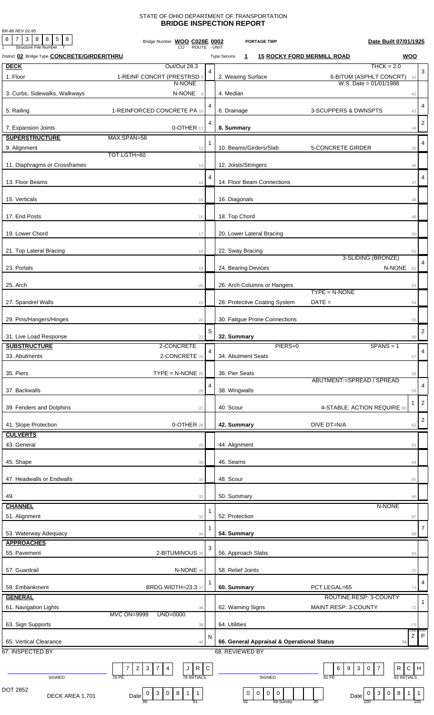## STATE OF OHIO DEPARTMENT OF TRANSPORTATION **BRIDGE INSPECTION REPORT**

BR-86 REV 02-95

| 8 7 3 8 8 5 8<br><b>Structure File Number</b>       | Bridge Number WOO C028E 0002<br><b>ROUTE</b>                                                               |   | <b>PORTAGE TWP</b><br>UNIT                                                       | Date Built 07/01/1925                                                                           |                      |
|-----------------------------------------------------|------------------------------------------------------------------------------------------------------------|---|----------------------------------------------------------------------------------|-------------------------------------------------------------------------------------------------|----------------------|
| District 02 Bridge Type <b>CONCRETE/GIRDER/THRU</b> |                                                                                                            |   | <b>15 ROCKY FORD MERMILL ROAD</b><br><b>Type Service</b><br>$\mathbf{1}$         | <b>WOO</b>                                                                                      |                      |
| <b>DECK</b>                                         | Out/Out 28.3                                                                                               |   |                                                                                  | $THCK = 2.0$                                                                                    |                      |
| 1. Floor                                            | 1-REINF CONCRT (PRESTRSD 8                                                                                 | 4 | 2. Wearing Surface                                                               | 6-BITUM (ASPHLT CONCRT)<br>41                                                                   | 3                    |
|                                                     | N-NONE                                                                                                     |   |                                                                                  | W.S. Date = $01/01/1988$                                                                        |                      |
| 3. Curbs, Sidewalks, Walkways                       | N-NONE<br>$\overline{9}$                                                                                   |   | 4. Median                                                                        | 42                                                                                              |                      |
| 5. Railing                                          | 1-REINFORCED CONCRETE PA 10                                                                                | 4 | 6. Drainage<br>3-SCUPPERS & DWNSPTS                                              | 43                                                                                              | $\overline{4}$       |
|                                                     |                                                                                                            | 4 |                                                                                  |                                                                                                 | $\sqrt{2}$           |
| 7. Expansion Joints                                 | 0-OTHER 11                                                                                                 |   | 8. Summary                                                                       | 44                                                                                              |                      |
| <b>SUPERSTRUCTURE</b>                               | MAX.SPAN=58                                                                                                | 1 |                                                                                  |                                                                                                 | $\overline{4}$       |
| 9. Alignment                                        | 12<br>TOT.LGTH=60                                                                                          |   | 10. Beams/Girders/Slab<br><b>5-CONCRETE GIRDER</b>                               | 45                                                                                              |                      |
| 11. Diaphragms or Crossframes                       | 13                                                                                                         |   | 12. Joists/Stringers                                                             | 46                                                                                              |                      |
|                                                     |                                                                                                            | 4 |                                                                                  |                                                                                                 | 4                    |
| 13. Floor Beams                                     | 14                                                                                                         |   | 14. Floor Beam Connections                                                       | 47                                                                                              |                      |
| 15. Verticals                                       | 15                                                                                                         |   | 16. Diagonals                                                                    | 48                                                                                              |                      |
|                                                     |                                                                                                            |   |                                                                                  |                                                                                                 |                      |
| 17. End Posts                                       | 16                                                                                                         |   | 18. Top Chord                                                                    | 49                                                                                              |                      |
|                                                     |                                                                                                            |   |                                                                                  |                                                                                                 |                      |
| 19. Lower Chord                                     | 17                                                                                                         |   | 20. Lower Lateral Bracing                                                        | 50                                                                                              |                      |
| 21. Top Lateral Bracing                             | 18                                                                                                         |   | 22. Sway Bracing                                                                 | 51                                                                                              |                      |
|                                                     |                                                                                                            |   |                                                                                  | 3-SLIDING (BRONZE)                                                                              | 4                    |
| 23. Portals                                         | 19                                                                                                         |   | 24. Bearing Devices                                                              | N-NONE 52                                                                                       |                      |
| 25. Arch                                            | 20                                                                                                         |   | 26. Arch Columns or Hangers                                                      | 53                                                                                              |                      |
|                                                     |                                                                                                            |   | $TYPE = N-NONE$                                                                  |                                                                                                 |                      |
| 27. Spandrel Walls                                  | 21                                                                                                         |   | $DATE =$<br>28. Protective Coating System                                        | 54                                                                                              |                      |
|                                                     |                                                                                                            |   | 30. Fatigue Prone Connections                                                    |                                                                                                 |                      |
| 29. Pins/Hangers/Hinges                             | 22                                                                                                         |   |                                                                                  | 55                                                                                              |                      |
| 31. Live Load Response                              | 23                                                                                                         | S | 32. Summary                                                                      | 56                                                                                              | $\sqrt{2}$           |
| <b>SUBSTRUCTURE</b>                                 | 2-CONCRETE                                                                                                 | 4 | PIERS=0                                                                          | $SPANS = 1$                                                                                     | $\overline{4}$       |
| 33. Abutments                                       | 2-CONCRETE 24                                                                                              |   | 34. Abutment Seats                                                               | 57                                                                                              |                      |
| 35. Piers                                           | $\mathsf{TYPE} = \mathsf{N}\text{-}\mathsf{NONE}$ 25                                                       |   | 36. Pier Seats                                                                   |                                                                                                 |                      |
|                                                     |                                                                                                            |   | ABUTMENT:=SPREAD / SPREAD                                                        | 58                                                                                              |                      |
| 37. Backwalls                                       | 26                                                                                                         | 4 | 38. Wingwalls                                                                    | 59                                                                                              | 4                    |
|                                                     |                                                                                                            |   |                                                                                  | -1                                                                                              | $\overline{c}$       |
| 39. Fenders and Dolphins                            | 27                                                                                                         |   | 40. Scour<br>4-STABLE: ACTION REQUIRE 60                                         |                                                                                                 |                      |
| 41. Slope Protection                                | 0-OTHER 28                                                                                                 |   | 42. Summary<br>DIVE DT=N/A                                                       | 62                                                                                              | $\sqrt{2}$           |
| <b>CULVERTS</b>                                     |                                                                                                            |   |                                                                                  |                                                                                                 |                      |
| 43. General                                         | 29                                                                                                         |   | 44. Alignment                                                                    | 63                                                                                              |                      |
|                                                     |                                                                                                            |   |                                                                                  |                                                                                                 |                      |
| 45. Shape                                           | 30                                                                                                         |   | 46. Seams                                                                        | 64                                                                                              |                      |
| 47. Headwalls or Endwalls                           | 31                                                                                                         |   | 48. Scour                                                                        | 65                                                                                              |                      |
|                                                     |                                                                                                            |   |                                                                                  |                                                                                                 |                      |
| 49.<br><b>CHANNEL</b>                               | 32                                                                                                         |   | 50. Summary                                                                      | 66<br>N-NONE                                                                                    |                      |
| 51. Alignment                                       | 33                                                                                                         | 1 | 52. Protection                                                                   | 67                                                                                              |                      |
|                                                     |                                                                                                            |   |                                                                                  |                                                                                                 |                      |
| 53. Waterway Adequacy                               | 34                                                                                                         | 1 | 54. Summary                                                                      | 68                                                                                              | 7                    |
| <b>APPROACHES</b>                                   |                                                                                                            | 3 |                                                                                  |                                                                                                 |                      |
| 55. Pavement                                        | 2-BITUMINOUS 35                                                                                            |   | 56. Approach Slabs                                                               | 69                                                                                              |                      |
| 57. Guardrail                                       | N-NONE 36                                                                                                  |   | 58. Relief Joints                                                                | 70                                                                                              |                      |
|                                                     |                                                                                                            |   |                                                                                  |                                                                                                 | 4                    |
| 59. Embankment                                      | BRDG.WIDTH=23.3 37                                                                                         |   | 60. Summary<br>PCT.LEGAL=65                                                      | 71                                                                                              |                      |
| <b>GENERAL</b>                                      |                                                                                                            |   | ROUTINE.RESP: 3-COUNTY                                                           |                                                                                                 | $\mathbf{1}$         |
| 61. Navigation Lights                               | 38<br><b>MVC ON=9999</b><br>UND=0000                                                                       |   | 62. Warning Signs<br>MAINT.RESP: 3-COUNTY                                        | 72                                                                                              |                      |
| 63. Sign Supports                                   | 39                                                                                                         |   | 64. Utilities                                                                    | 73                                                                                              |                      |
|                                                     |                                                                                                            | N |                                                                                  | COND:<br>$\overline{c}$                                                                         | STAT<br>$\mathsf{P}$ |
| 65. Vertical Clearance                              | 40                                                                                                         |   | 66. General Appraisal & Operational Status                                       | 74                                                                                              |                      |
| 67. INSPECTED BY                                    |                                                                                                            |   | 68. REVIEWED BY                                                                  |                                                                                                 |                      |
|                                                     | $R$ C<br>$\overline{2}$<br>$\mathbf{3}$<br>7<br>4<br>J<br>7                                                |   | $\mathbf{3}$<br>6<br>9                                                           | R<br>${\bf C}$<br>H<br>$\overline{7}$<br>0                                                      |                      |
| SIGNED                                              | <b>78 INITIALS</b><br>76 PE                                                                                |   | SIGNED<br>81 PE                                                                  | 83 INITIALS                                                                                     |                      |
| DOT 2852                                            |                                                                                                            |   |                                                                                  |                                                                                                 |                      |
| DECK AREA 1,701                                     | $\mathbf{3}$<br>8 <sup>1</sup><br>1<br>$\overline{1}$<br>$\overline{0}$<br>$\mathbf 0$<br>Date<br>86<br>91 |   | $\mathbf 0$<br>$\mathsf{O}$<br>$\mathbf 0$<br>0<br>Date<br>92<br>69 Survey<br>99 | 8<br>3 <sup>1</sup><br>$\mathbf 0$<br>$\mathbf{1}$<br>$\vert$ 1<br>$\overline{0}$<br>105<br>100 |                      |